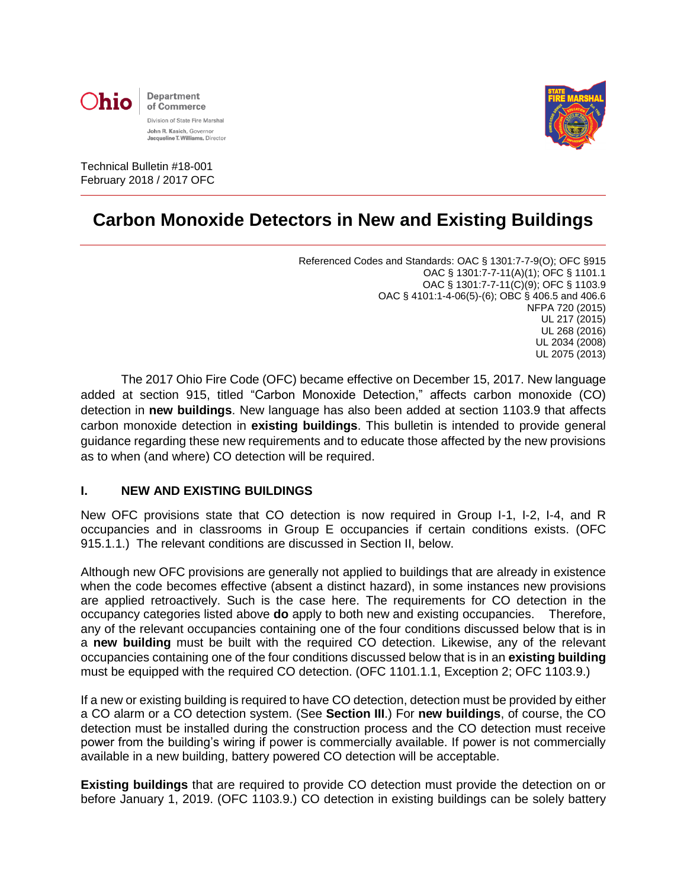



Technical Bulletin #18-001 February 2018 / 2017 OFC

# **Carbon Monoxide Detectors in New and Existing Buildings**

Referenced Codes and Standards: OAC § 1301:7-7-9(O); OFC §915 OAC § 1301:7-7-11(A)(1); OFC § 1101.1 OAC § 1301:7-7-11(C)(9); OFC § 1103.9 OAC § 4101:1-4-06(5)-(6); OBC § 406.5 and 406.6 NFPA 720 (2015) UL 217 (2015) UL 268 (2016) UL 2034 (2008) UL 2075 (2013)

The 2017 Ohio Fire Code (OFC) became effective on December 15, 2017. New language added at section 915, titled "Carbon Monoxide Detection," affects carbon monoxide (CO) detection in **new buildings**. New language has also been added at section 1103.9 that affects carbon monoxide detection in **existing buildings**. This bulletin is intended to provide general guidance regarding these new requirements and to educate those affected by the new provisions as to when (and where) CO detection will be required.

### **I. NEW AND EXISTING BUILDINGS**

New OFC provisions state that CO detection is now required in Group I-1, I-2, I-4, and R occupancies and in classrooms in Group E occupancies if certain conditions exists. (OFC 915.1.1.) The relevant conditions are discussed in Section II, below.

Although new OFC provisions are generally not applied to buildings that are already in existence when the code becomes effective (absent a distinct hazard), in some instances new provisions are applied retroactively. Such is the case here. The requirements for CO detection in the occupancy categories listed above **do** apply to both new and existing occupancies. Therefore, any of the relevant occupancies containing one of the four conditions discussed below that is in a **new building** must be built with the required CO detection. Likewise, any of the relevant occupancies containing one of the four conditions discussed below that is in an **existing building** must be equipped with the required CO detection. (OFC 1101.1.1, Exception 2; OFC 1103.9.)

If a new or existing building is required to have CO detection, detection must be provided by either a CO alarm or a CO detection system. (See **Section III**.) For **new buildings**, of course, the CO detection must be installed during the construction process and the CO detection must receive power from the building's wiring if power is commercially available. If power is not commercially available in a new building, battery powered CO detection will be acceptable.

**Existing buildings** that are required to provide CO detection must provide the detection on or before January 1, 2019. (OFC 1103.9.) CO detection in existing buildings can be solely battery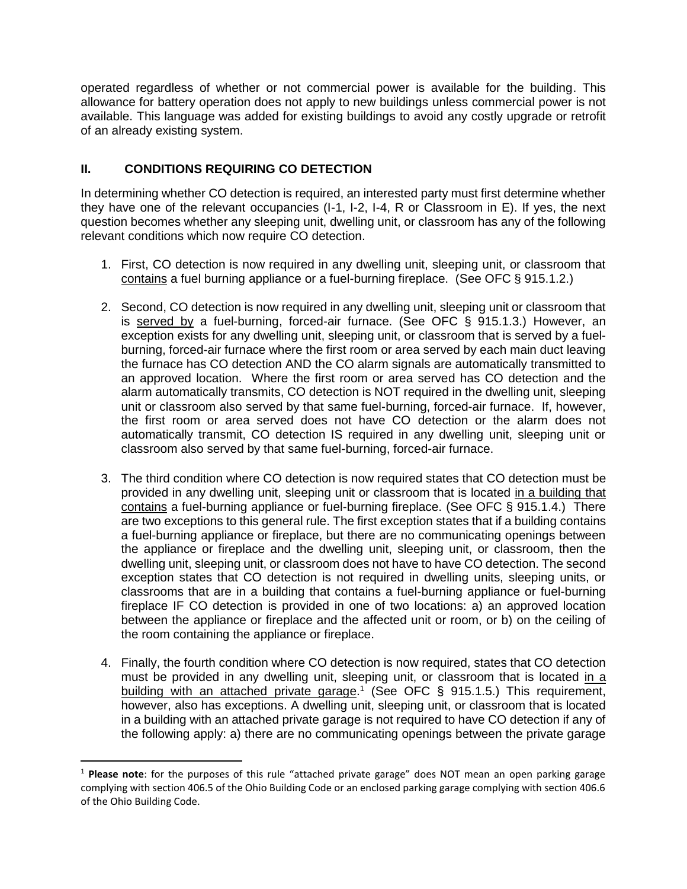operated regardless of whether or not commercial power is available for the building. This allowance for battery operation does not apply to new buildings unless commercial power is not available. This language was added for existing buildings to avoid any costly upgrade or retrofit of an already existing system.

# **II. CONDITIONS REQUIRING CO DETECTION**

 $\overline{\phantom{a}}$ 

In determining whether CO detection is required, an interested party must first determine whether they have one of the relevant occupancies (I-1, I-2, I-4, R or Classroom in E). If yes, the next question becomes whether any sleeping unit, dwelling unit, or classroom has any of the following relevant conditions which now require CO detection.

- 1. First, CO detection is now required in any dwelling unit, sleeping unit, or classroom that contains a fuel burning appliance or a fuel-burning fireplace. (See OFC § 915.1.2.)
- 2. Second, CO detection is now required in any dwelling unit, sleeping unit or classroom that is served by a fuel-burning, forced-air furnace. (See OFC § 915.1.3.) However, an exception exists for any dwelling unit, sleeping unit, or classroom that is served by a fuelburning, forced-air furnace where the first room or area served by each main duct leaving the furnace has CO detection AND the CO alarm signals are automatically transmitted to an approved location. Where the first room or area served has CO detection and the alarm automatically transmits, CO detection is NOT required in the dwelling unit, sleeping unit or classroom also served by that same fuel-burning, forced-air furnace. If, however, the first room or area served does not have CO detection or the alarm does not automatically transmit, CO detection IS required in any dwelling unit, sleeping unit or classroom also served by that same fuel-burning, forced-air furnace.
- 3. The third condition where CO detection is now required states that CO detection must be provided in any dwelling unit, sleeping unit or classroom that is located in a building that contains a fuel-burning appliance or fuel-burning fireplace. (See OFC § 915.1.4.) There are two exceptions to this general rule. The first exception states that if a building contains a fuel-burning appliance or fireplace, but there are no communicating openings between the appliance or fireplace and the dwelling unit, sleeping unit, or classroom, then the dwelling unit, sleeping unit, or classroom does not have to have CO detection. The second exception states that CO detection is not required in dwelling units, sleeping units, or classrooms that are in a building that contains a fuel-burning appliance or fuel-burning fireplace IF CO detection is provided in one of two locations: a) an approved location between the appliance or fireplace and the affected unit or room, or b) on the ceiling of the room containing the appliance or fireplace.
- 4. Finally, the fourth condition where CO detection is now required, states that CO detection must be provided in any dwelling unit, sleeping unit, or classroom that is located in a building with an attached private garage.<sup>1</sup> (See OFC § 915.1.5.) This requirement, however, also has exceptions. A dwelling unit, sleeping unit, or classroom that is located in a building with an attached private garage is not required to have CO detection if any of the following apply: a) there are no communicating openings between the private garage

<sup>1</sup> **Please note**: for the purposes of this rule "attached private garage" does NOT mean an open parking garage complying with section 406.5 of the Ohio Building Code or an enclosed parking garage complying with section 406.6 of the Ohio Building Code.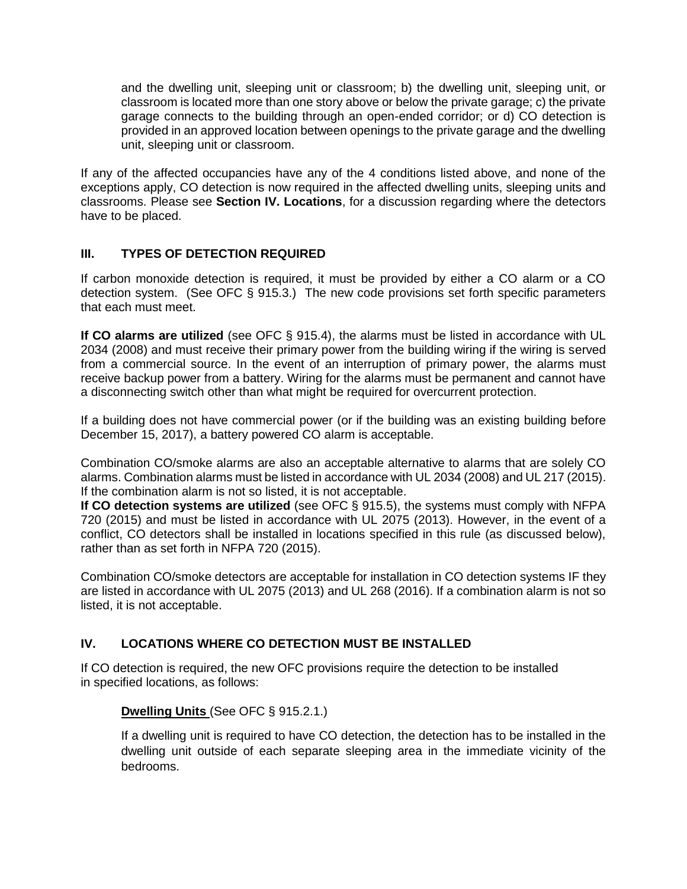and the dwelling unit, sleeping unit or classroom; b) the dwelling unit, sleeping unit, or classroom is located more than one story above or below the private garage; c) the private garage connects to the building through an open-ended corridor; or d) CO detection is provided in an approved location between openings to the private garage and the dwelling unit, sleeping unit or classroom.

If any of the affected occupancies have any of the 4 conditions listed above, and none of the exceptions apply, CO detection is now required in the affected dwelling units, sleeping units and classrooms. Please see **Section IV. Locations**, for a discussion regarding where the detectors have to be placed.

# **III. TYPES OF DETECTION REQUIRED**

If carbon monoxide detection is required, it must be provided by either a CO alarm or a CO detection system. (See OFC § 915.3.) The new code provisions set forth specific parameters that each must meet.

**If CO alarms are utilized** (see OFC § 915.4), the alarms must be listed in accordance with UL 2034 (2008) and must receive their primary power from the building wiring if the wiring is served from a commercial source. In the event of an interruption of primary power, the alarms must receive backup power from a battery. Wiring for the alarms must be permanent and cannot have a disconnecting switch other than what might be required for overcurrent protection.

If a building does not have commercial power (or if the building was an existing building before December 15, 2017), a battery powered CO alarm is acceptable.

Combination CO/smoke alarms are also an acceptable alternative to alarms that are solely CO alarms. Combination alarms must be listed in accordance with UL 2034 (2008) and UL 217 (2015). If the combination alarm is not so listed, it is not acceptable.

**If CO detection systems are utilized** (see OFC § 915.5), the systems must comply with NFPA 720 (2015) and must be listed in accordance with UL 2075 (2013). However, in the event of a conflict, CO detectors shall be installed in locations specified in this rule (as discussed below), rather than as set forth in NFPA 720 (2015).

Combination CO/smoke detectors are acceptable for installation in CO detection systems IF they are listed in accordance with UL 2075 (2013) and UL 268 (2016). If a combination alarm is not so listed, it is not acceptable.

# **IV. LOCATIONS WHERE CO DETECTION MUST BE INSTALLED**

If CO detection is required, the new OFC provisions require the detection to be installed in specified locations, as follows:

### **Dwelling Units** (See OFC § 915.2.1.)

If a dwelling unit is required to have CO detection, the detection has to be installed in the dwelling unit outside of each separate sleeping area in the immediate vicinity of the bedrooms.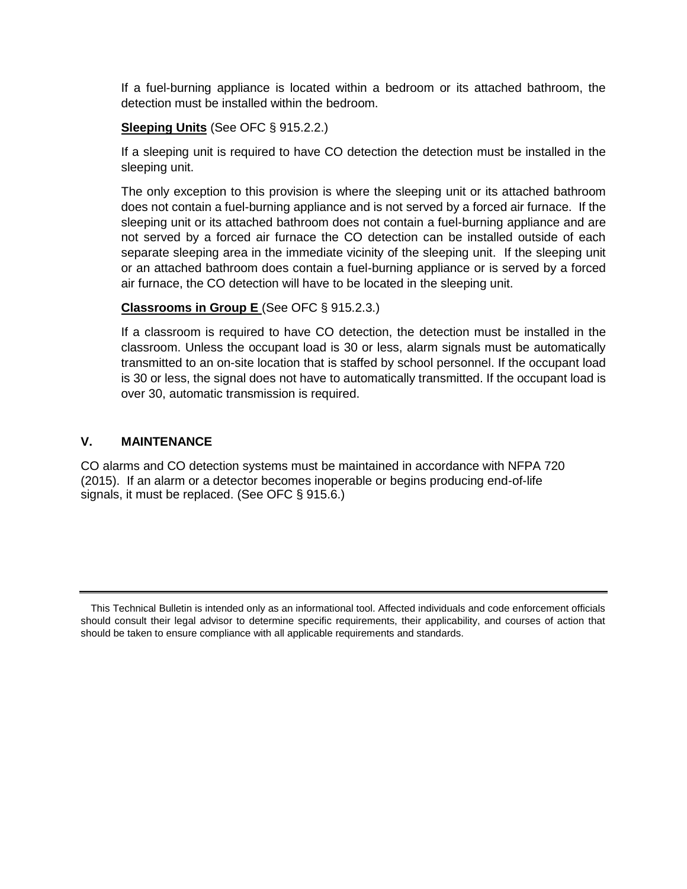If a fuel-burning appliance is located within a bedroom or its attached bathroom, the detection must be installed within the bedroom.

### **Sleeping Units** (See OFC § 915.2.2.)

If a sleeping unit is required to have CO detection the detection must be installed in the sleeping unit.

The only exception to this provision is where the sleeping unit or its attached bathroom does not contain a fuel-burning appliance and is not served by a forced air furnace. If the sleeping unit or its attached bathroom does not contain a fuel-burning appliance and are not served by a forced air furnace the CO detection can be installed outside of each separate sleeping area in the immediate vicinity of the sleeping unit. If the sleeping unit or an attached bathroom does contain a fuel-burning appliance or is served by a forced air furnace, the CO detection will have to be located in the sleeping unit.

### **Classrooms in Group E** (See OFC § 915.2.3.)

If a classroom is required to have CO detection, the detection must be installed in the classroom. Unless the occupant load is 30 or less, alarm signals must be automatically transmitted to an on-site location that is staffed by school personnel. If the occupant load is 30 or less, the signal does not have to automatically transmitted. If the occupant load is over 30, automatic transmission is required.

### **V. MAINTENANCE**

CO alarms and CO detection systems must be maintained in accordance with NFPA 720 (2015). If an alarm or a detector becomes inoperable or begins producing end-of-life signals, it must be replaced. (See OFC § 915.6.)

This Technical Bulletin is intended only as an informational tool. Affected individuals and code enforcement officials should consult their legal advisor to determine specific requirements, their applicability, and courses of action that should be taken to ensure compliance with all applicable requirements and standards.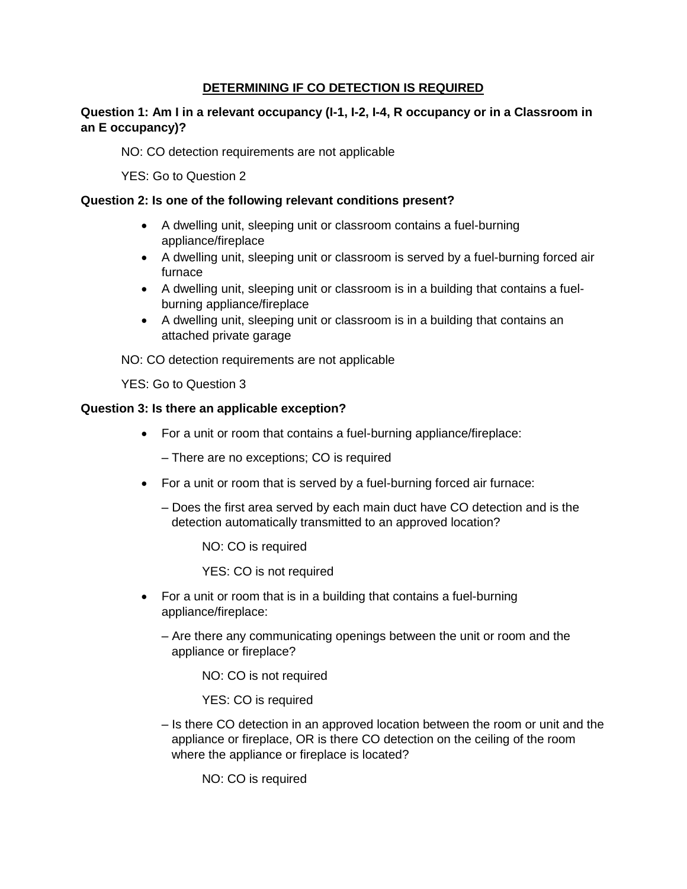# **DETERMINING IF CO DETECTION IS REQUIRED**

# **Question 1: Am I in a relevant occupancy (I-1, I-2, I-4, R occupancy or in a Classroom in an E occupancy)?**

NO: CO detection requirements are not applicable

YES: Go to Question 2

### **Question 2: Is one of the following relevant conditions present?**

- A dwelling unit, sleeping unit or classroom contains a fuel-burning appliance/fireplace
- A dwelling unit, sleeping unit or classroom is served by a fuel-burning forced air furnace
- A dwelling unit, sleeping unit or classroom is in a building that contains a fuelburning appliance/fireplace
- A dwelling unit, sleeping unit or classroom is in a building that contains an attached private garage

NO: CO detection requirements are not applicable

YES: Go to Question 3

### **Question 3: Is there an applicable exception?**

• For a unit or room that contains a fuel-burning appliance/fireplace:

– There are no exceptions; CO is required

- For a unit or room that is served by a fuel-burning forced air furnace:
	- Does the first area served by each main duct have CO detection and is the detection automatically transmitted to an approved location?

NO: CO is required

YES: CO is not required

- For a unit or room that is in a building that contains a fuel-burning appliance/fireplace:
	- Are there any communicating openings between the unit or room and the appliance or fireplace?

NO: CO is not required

YES: CO is required

– Is there CO detection in an approved location between the room or unit and the appliance or fireplace, OR is there CO detection on the ceiling of the room where the appliance or fireplace is located?

NO: CO is required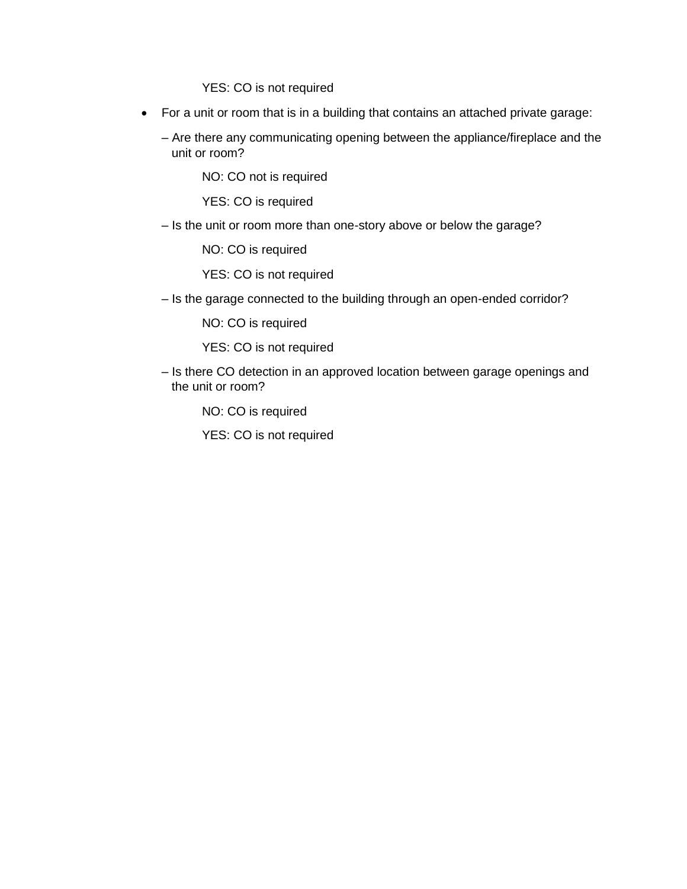YES: CO is not required

• For a unit or room that is in a building that contains an attached private garage:

– Are there any communicating opening between the appliance/fireplace and the unit or room?

NO: CO not is required

YES: CO is required

– Is the unit or room more than one-story above or below the garage?

NO: CO is required

YES: CO is not required

– Is the garage connected to the building through an open-ended corridor?

NO: CO is required

YES: CO is not required

– Is there CO detection in an approved location between garage openings and the unit or room?

NO: CO is required

YES: CO is not required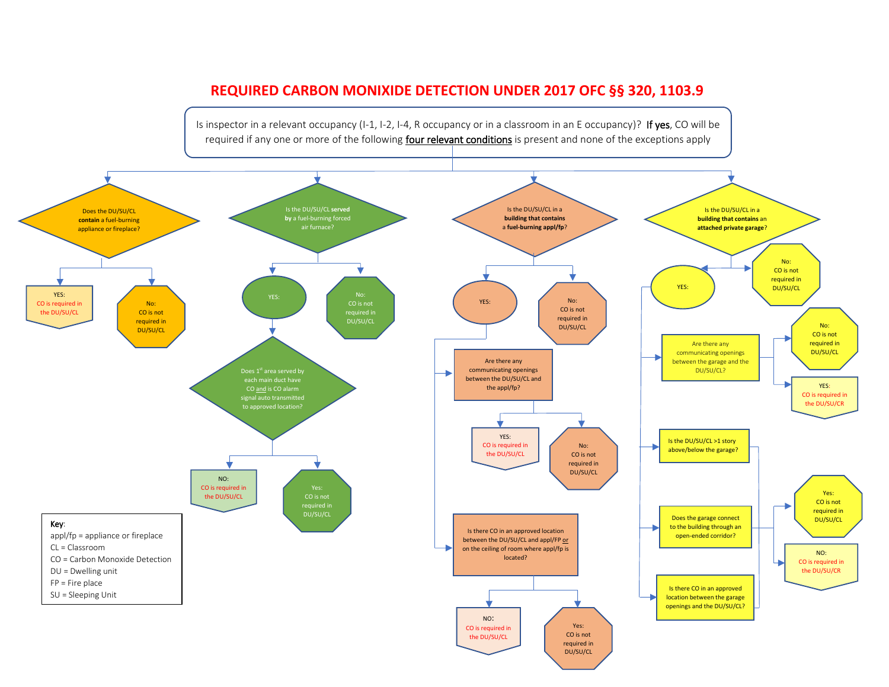# **REQUIRED CARBON MONIXIDE DETECTION UNDER 2017 OFC §§ 320, 1103.9**

Is inspector in a relevant occupancy (I-1, I-2, I-4, R occupancy or in a classroom in an E occupancy)? If yes, CO will be required if any one or more of the following **four relevant conditions** is present and none of the exceptions apply

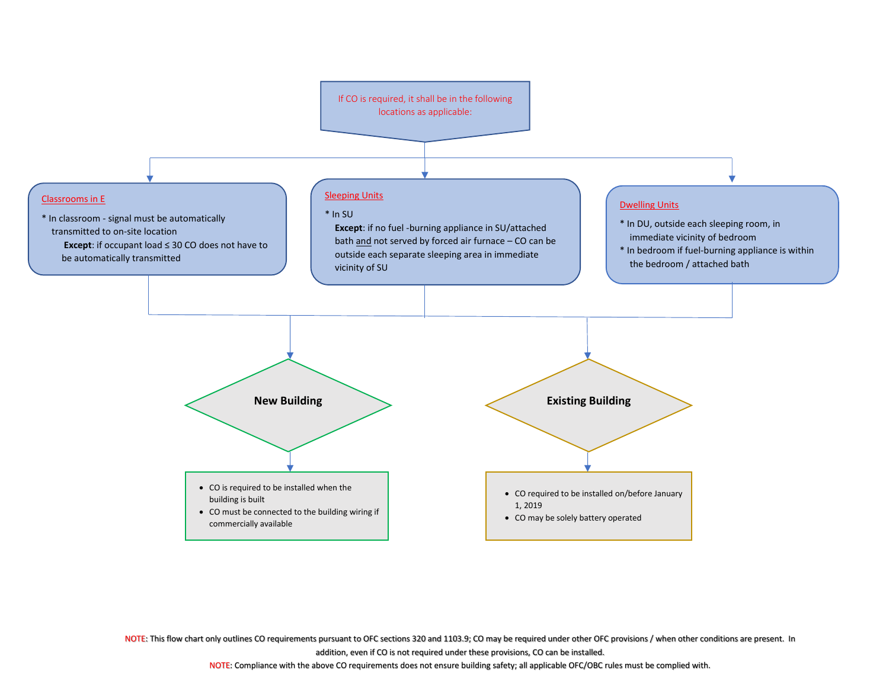

NOTE: This flow chart only outlines CO requirements pursuant to OFC sections 320 and 1103.9; CO may be required under other OFC provisions / when other conditions are present. In addition, even if CO is not required under these provisions, CO can be installed.

NOTE: Compliance with the above CO requirements does not ensure building safety; all applicable OFC/OBC rules must be complied with.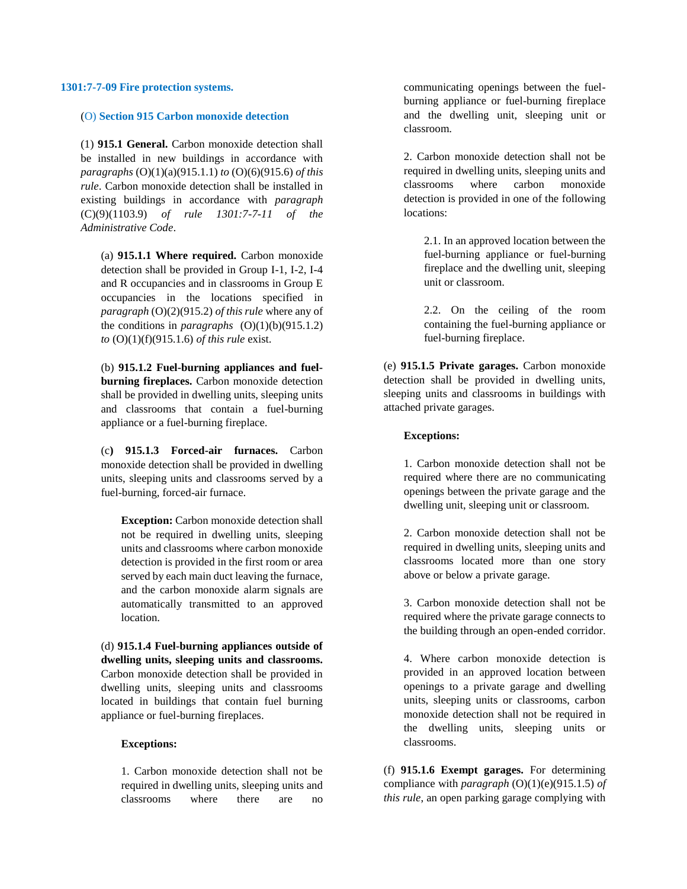#### **1301:7-7-09 Fire protection systems.**

#### (O) **Section 915 Carbon monoxide detection**

(1) **915.1 General.** Carbon monoxide detection shall be installed in new buildings in accordance with *paragraphs* (O)(1)(a)(915.1.1) *to* (O)(6)(915.6) *of this rule*. Carbon monoxide detection shall be installed in existing buildings in accordance with *paragraph*  (C)(9)(1103.9) *of rule 1301:7-7-11 of the Administrative Code*.

(a) **915.1.1 Where required.** Carbon monoxide detection shall be provided in Group I-1, I-2, I-4 and R occupancies and in classrooms in Group E occupancies in the locations specified in *paragraph* (O)(2)(915.2) *of this rule* where any of the conditions in *paragraphs*  $(O)(1)(b)(915.1.2)$ *to* (O)(1)(f)(915.1.6) *of this rule* exist.

(b) **915.1.2 Fuel-burning appliances and fuelburning fireplaces.** Carbon monoxide detection shall be provided in dwelling units, sleeping units and classrooms that contain a fuel-burning appliance or a fuel-burning fireplace.

(c**) 915.1.3 Forced-air furnaces.** Carbon monoxide detection shall be provided in dwelling units, sleeping units and classrooms served by a fuel-burning, forced-air furnace.

**Exception:** Carbon monoxide detection shall not be required in dwelling units, sleeping units and classrooms where carbon monoxide detection is provided in the first room or area served by each main duct leaving the furnace, and the carbon monoxide alarm signals are automatically transmitted to an approved location.

(d) **915.1.4 Fuel-burning appliances outside of dwelling units, sleeping units and classrooms.**  Carbon monoxide detection shall be provided in dwelling units, sleeping units and classrooms located in buildings that contain fuel burning appliance or fuel-burning fireplaces.

#### **Exceptions:**

1. Carbon monoxide detection shall not be required in dwelling units, sleeping units and classrooms where there are no communicating openings between the fuelburning appliance or fuel-burning fireplace and the dwelling unit, sleeping unit or classroom.

2. Carbon monoxide detection shall not be required in dwelling units, sleeping units and classrooms where carbon monoxide detection is provided in one of the following locations:

2.1. In an approved location between the fuel-burning appliance or fuel-burning fireplace and the dwelling unit, sleeping unit or classroom.

2.2. On the ceiling of the room containing the fuel-burning appliance or fuel-burning fireplace.

(e) **915.1.5 Private garages.** Carbon monoxide detection shall be provided in dwelling units, sleeping units and classrooms in buildings with attached private garages.

#### **Exceptions:**

1. Carbon monoxide detection shall not be required where there are no communicating openings between the private garage and the dwelling unit, sleeping unit or classroom.

2. Carbon monoxide detection shall not be required in dwelling units, sleeping units and classrooms located more than one story above or below a private garage.

3. Carbon monoxide detection shall not be required where the private garage connects to the building through an open-ended corridor.

4. Where carbon monoxide detection is provided in an approved location between openings to a private garage and dwelling units, sleeping units or classrooms, carbon monoxide detection shall not be required in the dwelling units, sleeping units or classrooms.

(f) **915.1.6 Exempt garages.** For determining compliance with *paragraph* (O)(1)(e)(915.1.5) *of this rule*, an open parking garage complying with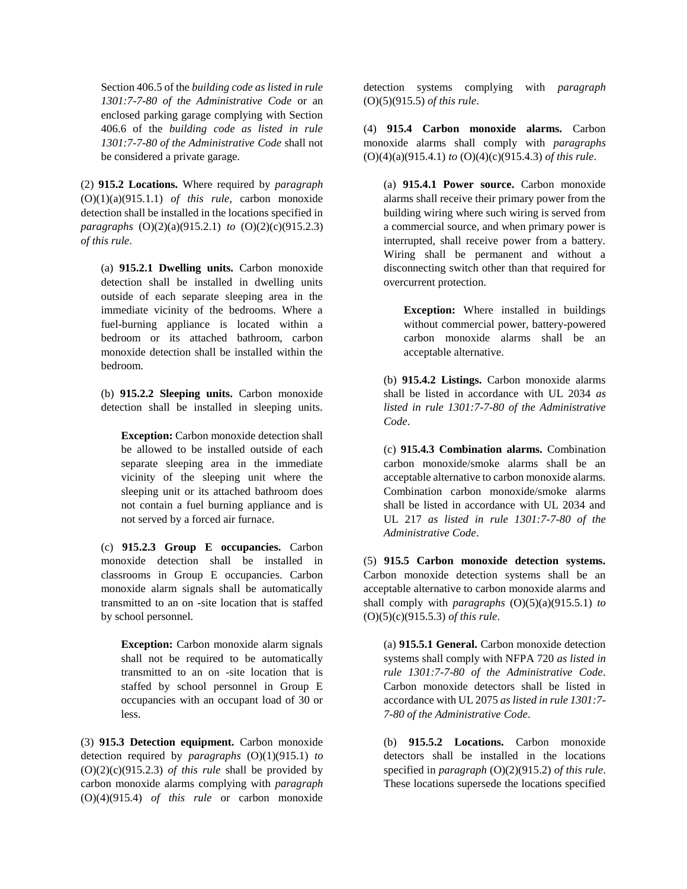Section 406.5 of the *building code as listed in rule 1301:7-7-80 of the Administrative Code* or an enclosed parking garage complying with Section 406.6 of the *building code as listed in rule 1301:7-7-80 of the Administrative Code* shall not be considered a private garage.

(2) **915.2 Locations.** Where required by *paragraph*  (O)(1)(a)(915.1.1) *of this rule*, carbon monoxide detection shall be installed in the locations specified in *paragraphs* (O)(2)(a)(915.2.1) *to* (O)(2)(c)(915.2.3) *of this rule*.

(a) **915.2.1 Dwelling units.** Carbon monoxide detection shall be installed in dwelling units outside of each separate sleeping area in the immediate vicinity of the bedrooms. Where a fuel-burning appliance is located within a bedroom or its attached bathroom, carbon monoxide detection shall be installed within the bedroom.

(b) **915.2.2 Sleeping units.** Carbon monoxide detection shall be installed in sleeping units.

**Exception:** Carbon monoxide detection shall be allowed to be installed outside of each separate sleeping area in the immediate vicinity of the sleeping unit where the sleeping unit or its attached bathroom does not contain a fuel burning appliance and is not served by a forced air furnace.

(c) **915.2.3 Group E occupancies.** Carbon monoxide detection shall be installed in classrooms in Group E occupancies. Carbon monoxide alarm signals shall be automatically transmitted to an on -site location that is staffed by school personnel.

**Exception:** Carbon monoxide alarm signals shall not be required to be automatically transmitted to an on -site location that is staffed by school personnel in Group E occupancies with an occupant load of 30 or less.

(3) **915.3 Detection equipment.** Carbon monoxide detection required by *paragraphs* (O)(1)(915.1) *to*  (O)(2)(c)(915.2.3) *of this rule* shall be provided by carbon monoxide alarms complying with *paragraph*  (O)(4)(915.4) *of this rule* or carbon monoxide

detection systems complying with *paragraph*  (O)(5)(915.5) *of this rule*.

(4) **915.4 Carbon monoxide alarms.** Carbon monoxide alarms shall comply with *paragraphs*  (O)(4)(a)(915.4.1) *to* (O)(4)(c)(915.4.3) *of this rule*.

(a) **915.4.1 Power source.** Carbon monoxide alarms shall receive their primary power from the building wiring where such wiring is served from a commercial source, and when primary power is interrupted, shall receive power from a battery. Wiring shall be permanent and without a disconnecting switch other than that required for overcurrent protection.

**Exception:** Where installed in buildings without commercial power, battery-powered carbon monoxide alarms shall be an acceptable alternative.

(b) **915.4.2 Listings.** Carbon monoxide alarms shall be listed in accordance with UL 2034 *as listed in rule 1301:7-7-80 of the Administrative Code*.

(c) **915.4.3 Combination alarms.** Combination carbon monoxide/smoke alarms shall be an acceptable alternative to carbon monoxide alarms. Combination carbon monoxide/smoke alarms shall be listed in accordance with UL 2034 and UL 217 *as listed in rule 1301:7-7-80 of the Administrative Code*.

(5) **915.5 Carbon monoxide detection systems.**  Carbon monoxide detection systems shall be an acceptable alternative to carbon monoxide alarms and shall comply with *paragraphs* (O)(5)(a)(915.5.1) *to*  (O)(5)(c)(915.5.3) *of this rule*.

(a) **915.5.1 General.** Carbon monoxide detection systems shall comply with NFPA 720 *as listed in rule 1301:7-7-80 of the Administrative Code*. Carbon monoxide detectors shall be listed in accordance with UL 2075 *as listed in rule 1301:7- 7-80 of the Administrative Code*.

(b) **915.5.2 Locations.** Carbon monoxide detectors shall be installed in the locations specified in *paragraph* (O)(2)(915.2) *of this rule*. These locations supersede the locations specified